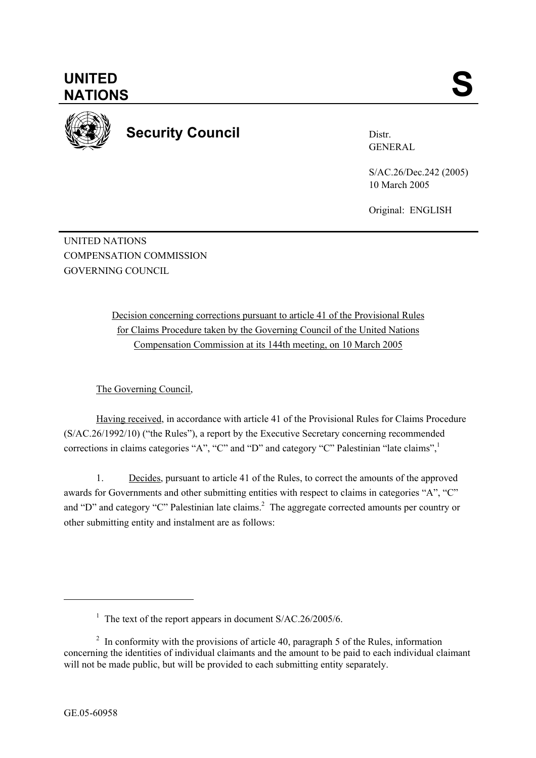

**Security Council** 

Distr. GENERAL

S/AC.26/Dec.242 (2005) 10 March 2005

Original: ENGLISH

UNITED NATIONS COMPENSATION COMMISSION GOVERNING COUNCIL

> Decision concerning corrections pursuant to article 41 of the Provisional Rules for Claims Procedure taken by the Governing Council of the United Nations Compensation Commission at its 144th meeting, on 10 March 2005

The Governing Council,

Having received, in accordance with article 41 of the Provisional Rules for Claims Procedure (S/AC.26/1992/10) ("the Rules"), a report by the Executive Secretary concerning recommended corrections in claims categories "A", "C" and "D" and category "C" Palestinian "late claims",

1. Decides, pursuant to article 41 of the Rules, to correct the amounts of the approved awards for Governments and other submitting entities with respect to claims in categories "A", "C" and "D" and category "C" Palestinian late claims.<sup>2</sup> The aggregate corrected amounts per country or other submitting entity and instalment are as follows:

l

<sup>&</sup>lt;sup>1</sup> The text of the report appears in document  $S/AC.26/2005/6$ .

 $2 \text{ In arbitrary with the provisions of article } 40$ , paragraph 5 of the Rules, information concerning the identities of individual claimants and the amount to be paid to each individual claimant will not be made public, but will be provided to each submitting entity separately.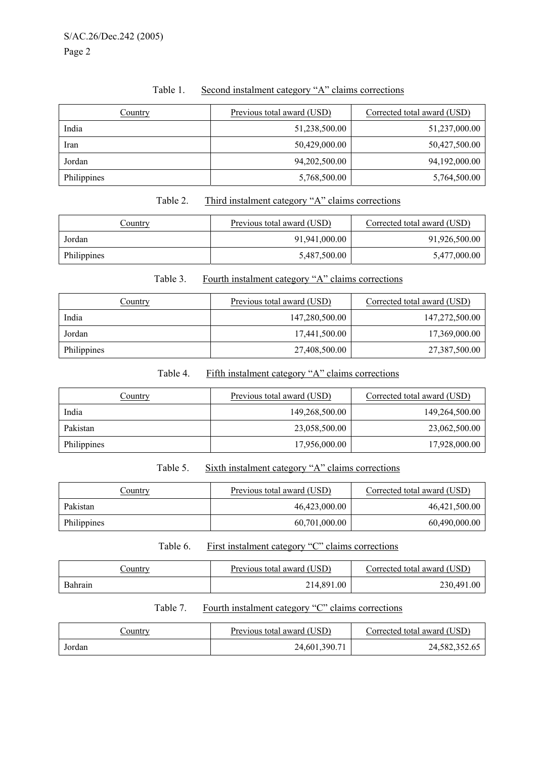|--|

| <b>Country</b> | Previous total award (USD) | Corrected total award (USD) |
|----------------|----------------------------|-----------------------------|
| India          | 51,238,500.00              | 51,237,000.00               |
| Iran           | 50,429,000.00              | 50,427,500.00               |
| Jordan         | 94,202,500.00              | 94,192,000.00               |
| Philippines    | 5,768,500.00               | 5,764,500.00                |

## Table 2. Third instalment category "A" claims corrections

| <u>Country</u> | Previous total award (USD) | Corrected total award (USD) |
|----------------|----------------------------|-----------------------------|
| Jordan         | 91,941,000.00              | 91,926,500.00               |
| Philippines    | 5,487,500.00               | 5,477,000.00                |

## Table 3. Fourth instalment category "A" claims corrections

| Country     | Previous total award (USD) | Corrected total award (USD) |
|-------------|----------------------------|-----------------------------|
| India       | 147,280,500.00             | 147,272,500.00              |
| Jordan      | 17,441,500.00              | 17,369,000.00               |
| Philippines | 27,408,500.00              | 27,387,500.00               |

# Table 4. Fifth instalment category "A" claims corrections

| Country     | Previous total award (USD) | Corrected total award (USD) |
|-------------|----------------------------|-----------------------------|
| India       | 149,268,500.00             | 149,264,500.00              |
| Pakistan    | 23,058,500.00              | 23,062,500.00               |
| Philippines | 17,956,000.00              | 17,928,000.00               |

#### Table 5. Sixth instalment category "A" claims corrections

| Country     | Previous total award (USD) | Corrected total award (USD) |
|-------------|----------------------------|-----------------------------|
| Pakistan    | 46,423,000.00              | 46,421,500.00               |
| Philippines | 60,701,000.00              | 60,490,000.00               |

## Table 6. First instalment category "C" claims corrections

| <u>Country</u> | Previous total award (USD) | Corrected total award (USD) |
|----------------|----------------------------|-----------------------------|
| Bahrain        | 214,891.00                 | 230,491.00                  |

# Table 7. Fourth instalment category "C" claims corrections

| <u>Country</u> | Previous total award (USD) | Corrected total award (USD) |
|----------------|----------------------------|-----------------------------|
| Jordan         | 24,601,390.71              | 24,582,352.65               |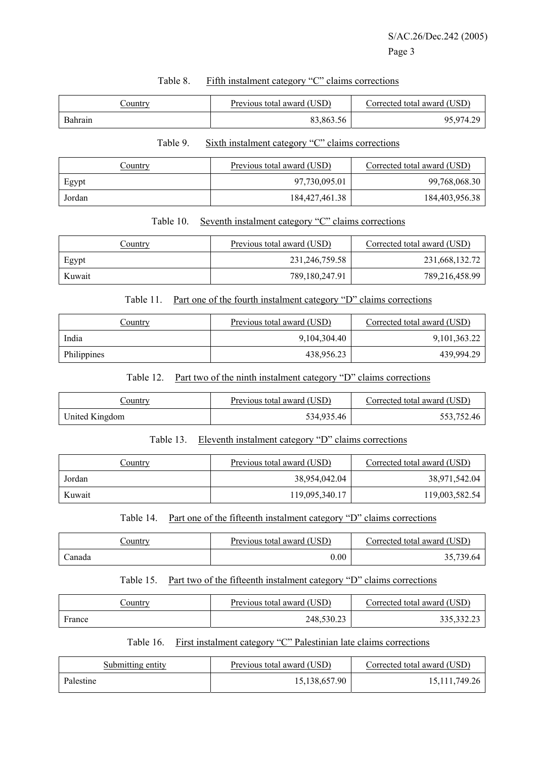| <u>Country</u> | Previous total award (USD) | Corrected total award (USD) |
|----------------|----------------------------|-----------------------------|
| Bahrain        | 83,863.56                  | 95,974.29                   |

#### Table 8. Fifth instalment category "C" claims corrections

#### Table 9. Sixth instalment category "C" claims corrections

| <u>Country</u> | Previous total award (USD) | Corrected total award (USD) |
|----------------|----------------------------|-----------------------------|
| Egypt          | 97,730,095.01              | 99,768,068.30               |
| Jordan         | 184, 427, 461. 38          | 184,403,956.38              |

## Table 10. Seventh instalment category "C" claims corrections

| <u>Country</u> | Previous total award (USD) | Corrected total award (USD) |
|----------------|----------------------------|-----------------------------|
| Egypt          | 231,246,759.58             | 231,668,132.72              |
| Kuwait         | 789,180,247.91             | 789,216,458.99              |

#### Table 11. Part one of the fourth instalment category "D" claims corrections

| <u>Country</u> | Previous total award (USD) | Corrected total award (USD) |
|----------------|----------------------------|-----------------------------|
| India          | 9,104,304.40               | 9,101,363.22                |
| Philippines    | 438,956.23                 | 439.994.29                  |

#### Table 12. Part two of the ninth instalment category "D" claims corrections

| Country        | Previous total award (USD) | Corrected total award (USD) |
|----------------|----------------------------|-----------------------------|
| United Kingdom | 534,935.46                 | 553.752.46                  |

## Table 13. Eleventh instalment category "D" claims corrections

| Country | Previous total award (USD) | Corrected total award (USD) |
|---------|----------------------------|-----------------------------|
| Jordan  | 38,954,042.04              | 38,971,542.04               |
| Kuwait  | 119,095,340.17             | 119,003,582.54              |

## Table 14. Part one of the fifteenth instalment category "D" claims corrections

| <u>Country</u> | Previous total award (USD) | Corrected total award (USD) |
|----------------|----------------------------|-----------------------------|
| .`anada        | $0.00\,$                   | 35,739.64                   |

## Table 15. Part two of the fifteenth instalment category "D" claims corrections

| <u>Jountry</u> | Previous total award (USD) | Corrected total award (USD) |
|----------------|----------------------------|-----------------------------|
| France         | 248,530.23                 | 335,332.23                  |

#### Table 16. First instalment category "C" Palestinian late claims corrections

| Submitting entity | Previous total award (USD) | Corrected total award (USD) |
|-------------------|----------------------------|-----------------------------|
| Palestine         | 15.138.657.90              | 15, 111, 749. 26            |